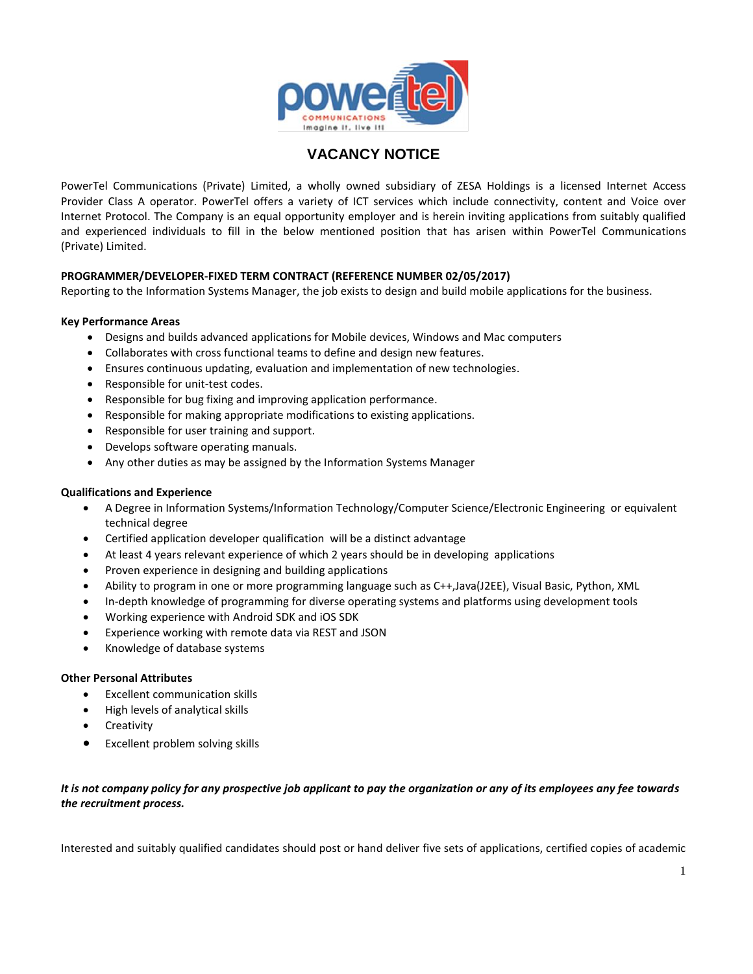

# **VACANCY NOTICE**

PowerTel Communications (Private) Limited, a wholly owned subsidiary of ZESA Holdings is a licensed Internet Access Provider Class A operator. PowerTel offers a variety of ICT services which include connectivity, content and Voice over Internet Protocol. The Company is an equal opportunity employer and is herein inviting applications from suitably qualified and experienced individuals to fill in the below mentioned position that has arisen within PowerTel Communications (Private) Limited.

# **PROGRAMMER/DEVELOPER-FIXED TERM CONTRACT (REFERENCE NUMBER 02/05/2017)**

Reporting to the Information Systems Manager, the job exists to design and build mobile applications for the business.

## **Key Performance Areas**

- Designs and builds advanced applications for Mobile devices, Windows and Mac computers
- Collaborates with cross functional teams to define and design new features.
- Ensures continuous updating, evaluation and implementation of new technologies.
- Responsible for unit-test codes.
- Responsible for bug fixing and improving application performance.
- Responsible for making appropriate modifications to existing applications.
- Responsible for user training and support.
- Develops software operating manuals.
- Any other duties as may be assigned by the Information Systems Manager

#### **Qualifications and Experience**

- A Degree in Information Systems/Information Technology/Computer Science/Electronic Engineering or equivalent technical degree
- Certified application developer qualification will be a distinct advantage
- At least 4 years relevant experience of which 2 years should be in developing applications
- Proven experience in designing and building applications
- Ability to program in one or more programming language such as C++,Java(J2EE), Visual Basic, Python, XML
- In-depth knowledge of programming for diverse operating systems and platforms using development tools
- Working experience with Android SDK and iOS SDK
- Experience working with remote data via REST and JSON
- Knowledge of database systems

#### **Other Personal Attributes**

- Excellent communication skills
- High levels of analytical skills
- **Creativity**
- Excellent problem solving skills

# *It is not company policy for any prospective job applicant to pay the organization or any of its employees any fee towards the recruitment process.*

Interested and suitably qualified candidates should post or hand deliver five sets of applications, certified copies of academic